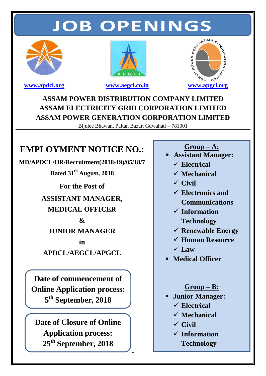# **JOB OPENINGS**







## **ASSAM POWER DISTRIBUTION COMPANY LIMITED ASSAM ELECTRICITY GRID CORPORATION LIMITED ASSAM POWER GENERATION CORPORATION LIMITED**

Bijulee Bhawan, Paltan Bazar, Guwahati – 781001

1

# **EMPLOYMENT NOTICE NO.:**

**MD/APDCL/HR/Recruitment(2018-19)/05/18/7**

**Dated 31 th August, 2018**

**For the Post of ASSISTANT MANAGER, MEDICAL OFFICER & JUNIOR MANAGER**

**in APDCL/AEGCL/APGCL**

**Date of commencement of Online Application process: 5 th September, 2018**

**Date of Closure of Online Application process: 25th September, 2018**

**Group – A:**

- **Assistant Manager:**
	- **Electrical**
	- **Mechanical**
	- **Civil**
	- **Electronics and Communications**
	- **Information Technology**
	- **Renewable Energy**
	- **Human Resource**
	- $\sqrt{L}$ aw
- **Medical Officer**

### **Group – B:**

- **Junior Manager:**
	- **Electrical**
	- **Mechanical**
	- **Civil**
	- **Information Technology**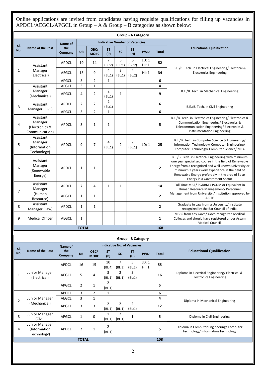Online applications are invited from candidates having requisite qualifications for filling up vacancies in APDCL/AEGCL/APGCL in Group – A & Group – B categories as shown below:

| <b>Group - A Category</b> |                                                     |                |                |                     |                                       |                          |                                    |                |                |                                                                                                                                                                                                                                                                                                                |  |  |
|---------------------------|-----------------------------------------------------|----------------|----------------|---------------------|---------------------------------------|--------------------------|------------------------------------|----------------|----------------|----------------------------------------------------------------------------------------------------------------------------------------------------------------------------------------------------------------------------------------------------------------------------------------------------------------|--|--|
| SI.                       |                                                     | Name of        |                |                     | <b>Indicative Number of Vacancies</b> |                          |                                    |                |                |                                                                                                                                                                                                                                                                                                                |  |  |
| No.                       | <b>Name of the Post</b>                             | the<br>Company | <b>UR</b>      | OBC/<br><b>MOBC</b> | <b>ST</b><br>(P)                      | <b>SC</b>                | <b>ST</b><br>(H)                   | <b>PWD</b>     | <b>Total</b>   | <b>Educational Qualification</b>                                                                                                                                                                                                                                                                               |  |  |
| 1                         | Assistant<br>Manager<br>(Electrical)                | <b>APDCL</b>   | 19             | 14                  | $\overline{7}$<br>(BL:2)              | 5<br>(BL:1)              | 5<br>(BL:2)                        | LD: 1<br>H1: 1 | 52             |                                                                                                                                                                                                                                                                                                                |  |  |
|                           |                                                     | <b>AEGCL</b>   | 13             | 9                   | 4<br>(BL:1)                           | 3<br>(BL:1)              | 4<br>(BL:2)                        | H1: 1          | 34             | B.E./B. Tech. in Electrical Engineering/ Electrical &<br><b>Electronics Engineering</b>                                                                                                                                                                                                                        |  |  |
|                           |                                                     | APGCL          | 3              | $\overline{2}$      | 1                                     |                          |                                    |                | 6              |                                                                                                                                                                                                                                                                                                                |  |  |
| 2                         | Assistant<br>Manager<br>(Mechanical)                | <b>AEGCL</b>   | 3              | 1                   | $\overline{2}$                        |                          |                                    |                | 4              | B.E./B. Tech. in Mechanical Engineering                                                                                                                                                                                                                                                                        |  |  |
|                           |                                                     | APGCL          | 4              | $\overline{2}$      | (BL:1)                                | $\mathbf{1}$             |                                    |                | 9              |                                                                                                                                                                                                                                                                                                                |  |  |
| 3                         | Assistant<br>Manager (Civil)                        | <b>APDCL</b>   | 2              | $\overline{2}$      | $\overline{2}$<br>(BL:1)              |                          |                                    |                | 6              | B.E./B. Tech. in Civil Engineering                                                                                                                                                                                                                                                                             |  |  |
|                           | Assistant                                           | APGCL          | 3              | $\overline{2}$      | $\mathbf{1}$                          |                          |                                    |                | 6              |                                                                                                                                                                                                                                                                                                                |  |  |
| 4                         | Manager<br>(Electronics &<br>Communication)         | <b>APDCL</b>   | 3              | 1                   | 1                                     |                          |                                    |                | 5              | B.E./B. Tech. in Electronics Engineering/Electronics &<br>Communication Engineering/Electronics &<br>Telecommunication Engineering/Electronics &<br><b>Instrumentation Engineering</b>                                                                                                                         |  |  |
| 5                         | Assistant<br>Manager<br>(Information<br>Technology) | <b>APDCL</b>   | 9              | $\overline{7}$      | 4<br>(BL:1)                           | $\overline{2}$           | 2<br>(BL:1)                        | LD: 1          | 25             | B.E./B. Tech. in Computer Science & Engineering/<br>Information Technology/ Computer Engineering/<br>Computer Technology/ Computer Science/ MCA                                                                                                                                                                |  |  |
| 6                         | Assistant<br>Manager<br>(Renewable<br>Energy)       | <b>APDCL</b>   | $\mathbf{1}$   | $\mathbf{1}$        |                                       |                          |                                    |                | $\overline{2}$ | B.E./B. Tech. in Electrical Engineering with minimum<br>one year specialized course in the field of Renewable<br>Energy from a recognized and well known university or<br>minimum 3 years work experience in the field of<br>Renewable Energy preferably in the area of Solar<br>Energy in a Government Sector |  |  |
| 7                         | Assistant<br>Manager                                | <b>APDCL</b>   | $\overline{7}$ | 4                   | $\mathbf{1}$                          | $\mathbf{1}$             | $\mathbf{1}$                       |                | 14             | Full Time MBA/ PGDBM / PGDM or Equivalent in<br>Human Resource Management/ Personnel                                                                                                                                                                                                                           |  |  |
|                           | (Human<br>Resource)                                 | APGCL          | 1              | $\mathbf{1}$        |                                       |                          |                                    |                | $\overline{2}$ | Management from University / Institution approved by<br><b>AICTE</b>                                                                                                                                                                                                                                           |  |  |
| 8                         | Assistant<br>Manager (Law)                          | APDCL          | 1              | 1                   |                                       |                          |                                    |                | $\overline{2}$ | Graduate in Law from a University/ Institute<br>recognized by the Bar Council of India.                                                                                                                                                                                                                        |  |  |
| 9                         | <b>Medical Officer</b>                              | <b>AEGCL</b>   | $\mathbf{1}$   |                     |                                       |                          |                                    |                | $\mathbf{1}$   | MBBS from any Govt./ Govt. recognized Medical<br>Colleges and should have registered under Assam<br>Medical Council.                                                                                                                                                                                           |  |  |
|                           |                                                     |                | <b>TOTAL</b>   |                     |                                       |                          |                                    |                | 168            |                                                                                                                                                                                                                                                                                                                |  |  |
|                           |                                                     |                |                |                     |                                       |                          | <b>Group - B Category</b>          |                |                |                                                                                                                                                                                                                                                                                                                |  |  |
|                           |                                                     | Name of        |                |                     |                                       |                          | <b>Indicative No. of Vacancies</b> |                |                |                                                                                                                                                                                                                                                                                                                |  |  |
| SI.<br>No.                | <b>Name of the Post</b>                             | the<br>Company | <b>UR</b>      | OBC/<br><b>MOBC</b> | <b>ST</b><br>(P)                      | <b>SC</b>                | <b>ST</b><br>(H)                   | <b>PWD</b>     | <b>Total</b>   | <b>Educational Qualification</b>                                                                                                                                                                                                                                                                               |  |  |
|                           |                                                     | <b>APDCL</b>   | 16             | 15                  | 10<br>(BL:4)                          | 7<br>(BL:3)              | 5<br>(BL:2)                        | LD: 1<br>H1:1  | 55             | Diploma in Electrical Engineering/Electrical &<br><b>Electronics Engineering</b>                                                                                                                                                                                                                               |  |  |
| 1                         | Junior Manager<br>(Electrical)                      | <b>AEGCL</b>   | 5              | 4                   | 3<br>(BL:1)                           | $\overline{2}$<br>(BL:1) | $\overline{2}$<br>(BL:1)           |                | 16             |                                                                                                                                                                                                                                                                                                                |  |  |
|                           |                                                     | APGCL          | 2              | $\mathbf{1}$        | $\overline{2}$<br>(BL:1)              |                          |                                    |                | 5              |                                                                                                                                                                                                                                                                                                                |  |  |
| 2                         | Junior Manager<br>(Mechanical)                      | APDCL          | 3              | $\overline{2}$      | $\mathbf{1}$                          |                          |                                    |                | 6              |                                                                                                                                                                                                                                                                                                                |  |  |
|                           |                                                     | <b>AEGCL</b>   | 3              | $\mathbf{1}$        | $\overline{2}$                        | $\overline{2}$           | $\overline{2}$                     |                | 4              | Diploma in Mechanical Engineering                                                                                                                                                                                                                                                                              |  |  |
|                           |                                                     | APGCL          | 3              | 3                   | (BL:1)                                | (BL:1)                   | (BL:1)                             |                | 12             |                                                                                                                                                                                                                                                                                                                |  |  |
| 3                         | Junior Manager<br>(Civil)                           | APGCL          | $\mathbf{1}$   | 0                   | $\mathbf{1}$<br>(BL:1)                | $\overline{2}$<br>(BL:1) | $\mathbf{1}$                       |                | 5              | Diploma in Civil Engineering                                                                                                                                                                                                                                                                                   |  |  |
| 4                         | Junior Manager<br>(Information<br>Technology)       | <b>APDCL</b>   | $\overline{2}$ | 1                   | 2<br>(BL:1)                           |                          |                                    |                | 5              | Diploma in Computer Engineering/Computer<br>Technology/Information Technology                                                                                                                                                                                                                                  |  |  |
|                           |                                                     |                | <b>TOTAL</b>   |                     |                                       |                          |                                    |                | 108            |                                                                                                                                                                                                                                                                                                                |  |  |
| $\overline{2}$            |                                                     |                |                |                     |                                       |                          |                                    |                |                |                                                                                                                                                                                                                                                                                                                |  |  |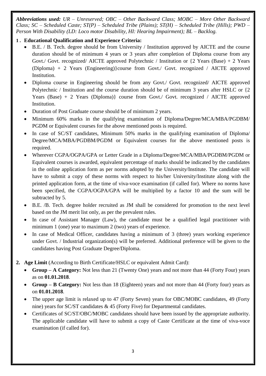*Abbreviations used: UR – Unreserved; OBC – Other Backward Class; MOBC – More Other Backward Class; SC – Scheduled Caste; ST(P) – Scheduled Tribe (Plains); ST(H) – Scheduled Tribe (Hills); PWD – Person With Disability (LD: Loco motor Disability, HI: Hearing Impairment); BL – Backlog.*

#### **1 . Educational Qualification and Experience Criteria:**

- B.E. / B. Tech. degree should be from University / Institution approved by AICTE and the course duration should be of minimum 4 years or 3 years after completion of Diploma course from any Govt./ Govt. recognized/ AICTE approved Polytechnic / Institution or  $\{2 \text{ Years (Base)} + 2 \text{ Years}$ (Diploma) + 2 Years (Engineering)}course from Govt./ Govt. recognized / AICTE approved Institution.
- Diploma course in Engineering should be from any Govt./ Govt. recognized/ AICTE approved Polytechnic / Institution and the course duration should be of minimum 3 years after HSLC or {2 Years (Base) + 2 Years (Diploma)} course from Govt./ Govt. recognized / AICTE approved Institution.
- Duration of Post Graduate course should be of minimum 2 years.
- Minimum 60% marks in the qualifying examination of Diploma/Degree/MCA/MBA/PGDBM/ PGDM or Equivalent courses for the above mentioned posts is required.
- In case of SC/ST candidates, Minimum 50% marks in the qualifying examination of Diploma/ Degree/MCA/MBA/PGDBM/PGDM or Equivalent courses for the above mentioned posts is required.
- Wherever CGPA/OGPA/GPA or Letter Grade in a Diploma/Degree/MCA/MBA/PGDBM/PGDM or Equivalent courses is awarded, equivalent percentage of marks should be indicated by the candidates in the online application form as per norms adopted by the University/Institute. The candidate will have to submit a copy of these norms with respect to his/her University/Institute along with the printed application form, at the time of viva-voce examination (if called for). Where no norms have been specified, the CGPA/OGPA/GPA will be multiplied by a factor 10 and the sum will be subtracted by 5.
- B.E. /B. Tech. degree holder recruited as JM shall be considered for promotion to the next level based on the JM merit list only, as per the prevalent rules.
- In case of Assistant Manager (Law), the candidate must be a qualified legal practitioner with minimum 1 (one) year to maximum 2 (two) years of experience.
- In case of Medical Officer, candidates having a minimum of 3 (three) years working experience under Govt. / Industrial organization(s) will be preferred. Additional preference will be given to the candidates having Post Graduate Degree/Diploma.
- **2. Age Limit** (According to Birth Certificate/HSLC or equivalent Admit Card):
	- **Group – A Category:** Not less than 21 (Twenty One) years and not more than 44 (Forty Four) years as on **01.01.2018**.
	- **Group – B Category:** Not less than 18 (Eighteen) years and not more than 44 (Forty four) years as on **01.01.2018**.
	- The upper age limit is relaxed up to 47 (Forty Seven) years for OBC/MOBC candidates, 49 (Forty nine) years for SC/ST candidates & 45 (Forty Five) for Departmental candidates.
	- Certificates of SC/ST/OBC/MOBC candidates should have been issued by the appropriate authority. The applicable candidate will have to submit a copy of Caste Certificate at the time of viva-voce examination (if called for).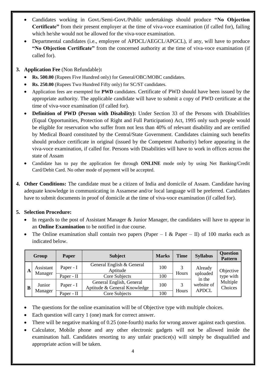- Candidates working in Govt./Semi-Govt./Public undertakings should produce **"No Objection Certificate"** from their present employer at the time of viva-voce examination (if called for), failing which he/she would not be allowed for the viva-voce examination.
- Departmental candidates (i.e., employee of APDCL/AEGCL/APGCL), if any, will have to produce **"No Objection Certificate"** from the concerned authority at the time of viva-voce examination (if called for).
- **3. Application Fee** (Non Refundable)**:**
	- **Rs. 500.00** (Rupees Five Hundred only) for General/OBC/MOBC candidates.
	- **Rs. 250.00** (Rupees Two Hundred Fifty only) for SC/ST candidates.
	- Application fees are exempted for **PWD** candidates. Certificate of PWD should have been issued by the appropriate authority. The applicable candidate will have to submit a copy of PWD certificate at the time of viva-voce examination (if called for).
	- **Definition of PWD (Person with Disability):** Under Section 33 of the Persons with Disabilities (Equal Opportunities, Protection of Right and Full Participation) Act, 1995 only such people would be eligible for reservation who suffer from not less than 40% of relevant disability and are certified by Medical Board constituted by the Central/State Government. Candidates claiming such benefits should produce certificate in original (issued by the Competent Authority) before appearing in the viva-voce examination, if called for. Persons with Disabilities will have to work in offices across the state of Assam
	- Candidate has to pay the application fee through **ONLINE** mode only by using Net Banking/Credit Card/Debit Card. No other mode of payment will be accepted.
- **4. Other Conditions:** The candidate must be a citizen of India and domicile of Assam. Candidate having adequate knowledge in communicating in Assamese and/or local language will be preferred. Candidates have to submit documents in proof of domicile at the time of viva-voce examination (if called for).

#### **5. Selection Procedure:**

- In regards to the post of Assistant Manager & Junior Manager, the candidates will have to appear in an **Online Examination** to be notified in due course.
- The Online examination shall contain two papers (Paper I & Paper II) of 100 marks each as indicated below.

| Group        |                      | Paper      | <b>Subject</b>                                           | <b>Marks</b> | <b>Time</b>                | <b>Syllabus</b>               | <b>Question</b><br><b>Pattern</b> |
|--------------|----------------------|------------|----------------------------------------------------------|--------------|----------------------------|-------------------------------|-----------------------------------|
| A            | Assistant<br>Manager | Paper - I  | General English & General<br>Aptitude                    | 100          | Hours                      | Already<br>uploaded<br>in the | Objective<br>type with            |
|              |                      | Paper - II | Core Subjects                                            | 100          |                            |                               |                                   |
| $\mathbf{B}$ | Junior<br>Manager    | Paper - I  | General English, General<br>Aptitude & General Knowledge | 100          | website of<br><b>APDCL</b> | Multiple<br>Choices           |                                   |
|              |                      | Paper - II | Core Subjects                                            | 100          | Hours                      |                               |                                   |

- The questions for the online examination will be of Objective type with multiple choices.
- Each question will carry 1 (one) mark for correct answer.
- There will be negative marking of 0.25 (one-fourth) marks for wrong answer against each question.
- Calculator, Mobile phone and any other electronic gadgets will not be allowed inside the examination hall. Candidates resorting to any unfair practice(s) will simply be disqualified and appropriate action will be taken.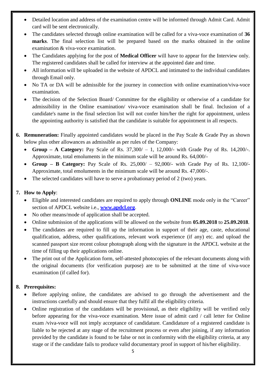- Detailed location and address of the examination centre will be informed through Admit Card. Admit card will be sent electronically.
- The candidates selected through online examination will be called for a viva-voce examination of **36 marks**. The final selection list will be prepared based on the marks obtained in the online examination & viva-voce examination.
- The Candidates applying for the post of **Medical Officer** will have to appear for the Interview only. The registered candidates shall be called for interview at the appointed date and time.
- All information will be uploaded in the website of APDCL and intimated to the individual candidates through Email only.
- No TA or DA will be admissible for the journey in connection with online examination/viva-voce examination.
- The decision of the Selection Board/ Committee for the eligibility or otherwise of a candidate for admissibility in the Online examination/ viva-voce examination shall be final. Inclusion of a candidate's name in the final selection list will not confer him/her the right for appointment, unless the appointing authority is satisfied that the candidate is suitable for appointment in all respects.
- **6. Remuneration:** Finally appointed candidates would be placed in the Pay Scale & Grade Pay as shown below plus other allowances as admissible as per rules of the Company:
	- **Group – A Category:** Pay Scale of Rs. 37,300/ 1, 12,000/- with Grade Pay of Rs. 14,200/-. Approximate, total emoluments in the minimum scale will be around Rs. 64,000/-
	- **Group – B Category:** Pay Scale of Rs. 25,000/ 92,000/- with Grade Pay of Rs. 12,100/- Approximate, total emoluments in the minimum scale will be around Rs. 47,000/-.
	- The selected candidates will have to serve a probationary period of 2 (two) years.

#### **7. How to Apply**:

- Eligible and interested candidates are required to apply through **ONLINE** mode only in the "Career" section of APDCL website i.e., **[www.apdcl.org](http://www.apdcl.org/)**.
- No other means/mode of application shall be accepted.
- Online submission of the applications will be allowed on the website from **05.09.2018** to **25.09.2018**.
- The candidates are required to fill up the information in support of their age, caste, educational qualification, address, other qualifications, relevant work experience (if any) etc. and upload the scanned passport size recent colour photograph along with the signature in the APDCL website at the time of filling up their applications online.
- The print out of the Application form, self-attested photocopies of the relevant documents along with the original documents (for verification purpose) are to be submitted at the time of viva-voce examination (if called for).

#### **8. Prerequisites:**

- Before applying online, the candidates are advised to go through the advertisement and the instructions carefully and should ensure that they fulfil all the eligibility criteria.
- Online registration of the candidates will be provisional, as their eligibility will be verified only before appearing for the viva-voce examination. Mere issue of admit card / call letter for Online exam /viva-voce will not imply acceptance of candidature. Candidature of a registered candidate is liable to be rejected at any stage of the recruitment process or even after joining, if any information provided by the candidate is found to be false or not in conformity with the eligibility criteria, at any stage or if the candidate fails to produce valid documentary proof in support of his/her eligibility.